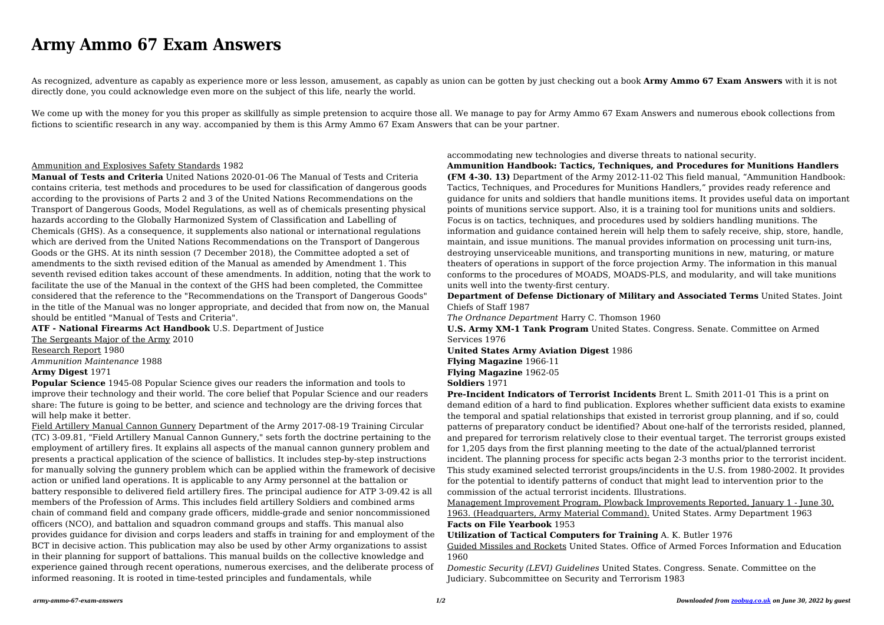# **Army Ammo 67 Exam Answers**

As recognized, adventure as capably as experience more or less lesson, amusement, as capably as union can be gotten by just checking out a book **Army Ammo 67 Exam Answers** with it is not directly done, you could acknowledge even more on the subject of this life, nearly the world.

We come up with the money for you this proper as skillfully as simple pretension to acquire those all. We manage to pay for Army Ammo 67 Exam Answers and numerous ebook collections from fictions to scientific research in any way. accompanied by them is this Army Ammo 67 Exam Answers that can be your partner.

# Ammunition and Explosives Safety Standards 1982

**Manual of Tests and Criteria** United Nations 2020-01-06 The Manual of Tests and Criteria contains criteria, test methods and procedures to be used for classification of dangerous goods according to the provisions of Parts 2 and 3 of the United Nations Recommendations on the Transport of Dangerous Goods, Model Regulations, as well as of chemicals presenting physical hazards according to the Globally Harmonized System of Classification and Labelling of Chemicals (GHS). As a consequence, it supplements also national or international regulations which are derived from the United Nations Recommendations on the Transport of Dangerous Goods or the GHS. At its ninth session (7 December 2018), the Committee adopted a set of amendments to the sixth revised edition of the Manual as amended by Amendment 1. This seventh revised edition takes account of these amendments. In addition, noting that the work to facilitate the use of the Manual in the context of the GHS had been completed, the Committee considered that the reference to the "Recommendations on the Transport of Dangerous Goods" in the title of the Manual was no longer appropriate, and decided that from now on, the Manual should be entitled "Manual of Tests and Criteria".

**ATF - National Firearms Act Handbook** U.S. Department of Justice

The Sergeants Major of the Army 2010 Research Report 1980 *Ammunition Maintenance* 1988 **Army Digest** 1971

**Popular Science** 1945-08 Popular Science gives our readers the information and tools to improve their technology and their world. The core belief that Popular Science and our readers share: The future is going to be better, and science and technology are the driving forces that will help make it better.

Field Artillery Manual Cannon Gunnery Department of the Army 2017-08-19 Training Circular (TC) 3-09.81, "Field Artillery Manual Cannon Gunnery," sets forth the doctrine pertaining to the employment of artillery fires. It explains all aspects of the manual cannon gunnery problem and presents a practical application of the science of ballistics. It includes step-by-step instructions for manually solving the gunnery problem which can be applied within the framework of decisive action or unified land operations. It is applicable to any Army personnel at the battalion or battery responsible to delivered field artillery fires. The principal audience for ATP 3-09.42 is all members of the Profession of Arms. This includes field artillery Soldiers and combined arms chain of command field and company grade officers, middle-grade and senior noncommissioned officers (NCO), and battalion and squadron command groups and staffs. This manual also provides guidance for division and corps leaders and staffs in training for and employment of the BCT in decisive action. This publication may also be used by other Army organizations to assist in their planning for support of battalions. This manual builds on the collective knowledge and experience gained through recent operations, numerous exercises, and the deliberate process of informed reasoning. It is rooted in time-tested principles and fundamentals, while

accommodating new technologies and diverse threats to national security. **Ammunition Handbook: Tactics, Techniques, and Procedures for Munitions Handlers (FM 4-30. 13)** Department of the Army 2012-11-02 This field manual, "Ammunition Handbook: Tactics, Techniques, and Procedures for Munitions Handlers," provides ready reference and guidance for units and soldiers that handle munitions items. It provides useful data on important points of munitions service support. Also, it is a training tool for munitions units and soldiers. Focus is on tactics, techniques, and procedures used by soldiers handling munitions. The information and guidance contained herein will help them to safely receive, ship, store, handle, maintain, and issue munitions. The manual provides information on processing unit turn-ins, destroying unserviceable munitions, and transporting munitions in new, maturing, or mature theaters of operations in support of the force projection Army. The information in this manual conforms to the procedures of MOADS, MOADS-PLS, and modularity, and will take munitions units well into the twenty-first century.

**Department of Defense Dictionary of Military and Associated Terms** United States. Joint Chiefs of Staff 1987

*The Ordnance Department* Harry C. Thomson 1960 **U.S. Army XM-1 Tank Program** United States. Congress. Senate. Committee on Armed Services 1976

**United States Army Aviation Digest** 1986 **Flying Magazine** 1966-11 **Flying Magazine** 1962-05 **Soldiers** 1971

**Pre-Incident Indicators of Terrorist Incidents** Brent L. Smith 2011-01 This is a print on demand edition of a hard to find publication. Explores whether sufficient data exists to examine the temporal and spatial relationships that existed in terrorist group planning, and if so, could patterns of preparatory conduct be identified? About one-half of the terrorists resided, planned, and prepared for terrorism relatively close to their eventual target. The terrorist groups existed for 1,205 days from the first planning meeting to the date of the actual/planned terrorist incident. The planning process for specific acts began 2-3 months prior to the terrorist incident. This study examined selected terrorist groups/incidents in the U.S. from 1980-2002. It provides for the potential to identify patterns of conduct that might lead to intervention prior to the commission of the actual terrorist incidents. Illustrations. Management Improvement Program, Plowback Improvements Reported, January 1 - June 30, 1963. (Headquarters, Army Material Command). United States. Army Department 1963 **Facts on File Yearbook** 1953

**Utilization of Tactical Computers for Training** A. K. Butler 1976 Guided Missiles and Rockets United States. Office of Armed Forces Information and Education 1960

*Domestic Security (LEVI) Guidelines* United States. Congress. Senate. Committee on the Judiciary. Subcommittee on Security and Terrorism 1983